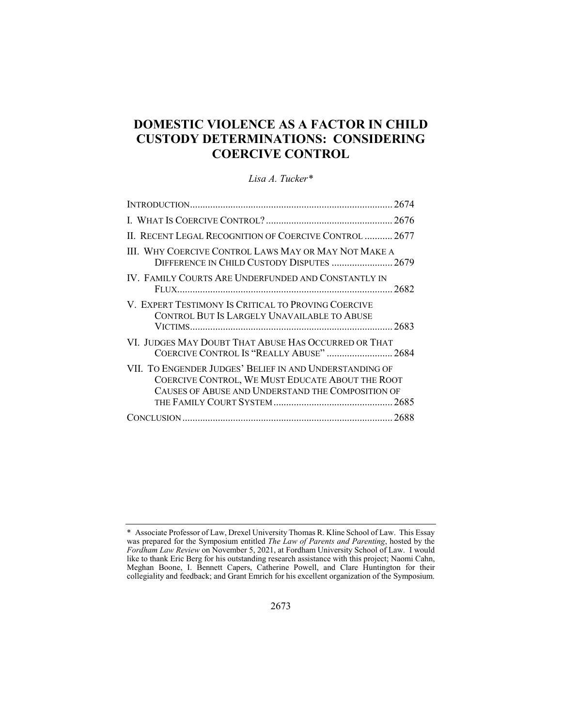# **DOMESTIC VIOLENCE AS A FACTOR IN CHILD CUSTODY DETERMINATIONS: CONSIDERING COERCIVE CONTROL**

## *Lisa A. Tucker\**

| II. RECENT LEGAL RECOGNITION OF COERCIVE CONTROL  2677                                                                                                           |  |
|------------------------------------------------------------------------------------------------------------------------------------------------------------------|--|
| III. WHY COERCIVE CONTROL LAWS MAY OR MAY NOT MAKE A<br>DIFFERENCE IN CHILD CUSTODY DISPUTES  2679                                                               |  |
| IV. FAMILY COURTS ARE UNDERFUNDED AND CONSTANTLY IN                                                                                                              |  |
| V. EXPERT TESTIMONY IS CRITICAL TO PROVING COERCIVE<br>CONTROL BUT IS LARGELY UNAVAILABLE TO ABUSE                                                               |  |
| VI. JUDGES MAY DOUBT THAT ABUSE HAS OCCURRED OR THAT<br>COERCIVE CONTROL IS "REALLY ABUSE"  2684                                                                 |  |
| VII. TO ENGENDER JUDGES' BELIEF IN AND UNDERSTANDING OF<br>COERCIVE CONTROL, WE MUST EDUCATE ABOUT THE ROOT<br>CAUSES OF ABUSE AND UNDERSTAND THE COMPOSITION OF |  |
|                                                                                                                                                                  |  |

<sup>\*</sup> Associate Professor of Law, Drexel University Thomas R. Kline School of Law. This Essay was prepared for the Symposium entitled *The Law of Parents and Parenting*, hosted by the *Fordham Law Review* on November 5, 2021, at Fordham University School of Law. I would like to thank Eric Berg for his outstanding research assistance with this project; Naomi Cahn, Meghan Boone, I. Bennett Capers, Catherine Powell, and Clare Huntington for their collegiality and feedback; and Grant Emrich for his excellent organization of the Symposium.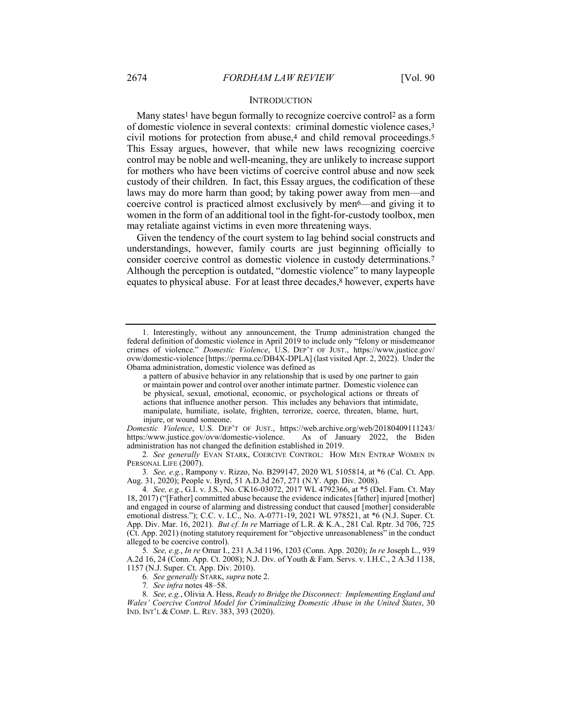#### **INTRODUCTION**

Many states<sup>1</sup> have begun formally to recognize coercive control<sup>2</sup> as a form of domestic violence in several contexts: criminal domestic violence cases,3 civil motions for protection from abuse,4 and child removal proceedings.5 This Essay argues, however, that while new laws recognizing coercive control may be noble and well-meaning, they are unlikely to increase support for mothers who have been victims of coercive control abuse and now seek custody of their children. In fact, this Essay argues, the codification of these laws may do more harm than good; by taking power away from men—and coercive control is practiced almost exclusively by men<sup>6</sup>—and giving it to women in the form of an additional tool in the fight-for-custody toolbox, men may retaliate against victims in even more threatening ways.

Given the tendency of the court system to lag behind social constructs and understandings, however, family courts are just beginning officially to consider coercive control as domestic violence in custody determinations.7 Although the perception is outdated, "domestic violence" to many laypeople equates to physical abuse. For at least three decades,<sup>8</sup> however, experts have

*Domestic Violence*, U.S. DEP'T OF JUST., https://web.archive.org/web/20180409111243/ https:/www.justice.gov/ovw/domestic-violence. As of January 2022, the Biden administration has not changed the definition established in 2019.

2*. See generally* EVAN STARK, COERCIVE CONTROL: HOW MEN ENTRAP WOMEN IN PERSONAL LIFE (2007).

3*. See, e.g.*, Rampony v. Rizzo, No. B299147, 2020 WL 5105814, at \*6 (Cal. Ct. App. Aug. 31, 2020); People v. Byrd, 51 A.D.3d 267, 271 (N.Y. App. Div. 2008).

4*. See, e.g.*, G.I. v. J.S., No. CK16-03072, 2017 WL 4792366, at \*5 (Del. Fam. Ct. May 18, 2017) ("[Father] committed abuse because the evidence indicates [father] injured [mother] and engaged in course of alarming and distressing conduct that caused [mother] considerable emotional distress."); C.C. v. I.C., No. A-0771-19, 2021 WL 978521, at \*6 (N.J. Super. Ct. App. Div. Mar. 16, 2021). *But cf. In re* Marriage of L.R. & K.A., 281 Cal. Rptr. 3d 706, 725 (Ct. App. 2021) (noting statutory requirement for "objective unreasonableness" in the conduct alleged to be coercive control).

5*. See, e.g.*, *In re* Omar I., 231 A.3d 1196, 1203 (Conn. App. 2020); *In re* Joseph L., 939 A.2d 16, 24 (Conn. App. Ct. 2008); N.J. Div. of Youth & Fam. Servs. v. I.H.C., 2 A.3d 1138, 1157 (N.J. Super. Ct. App. Div. 2010).

6*. See generally* STARK, *supra* note 2.

7*. See infra* notes 48–58.

8*. See, e.g.*, Olivia A. Hess, *Ready to Bridge the Disconnect: Implementing England and Wales' Coercive Control Model for Criminalizing Domestic Abuse in the United States*, 30 IND. INT'L & COMP. L. REV. 383, 393 (2020).

<sup>1.</sup> Interestingly, without any announcement, the Trump administration changed the federal definition of domestic violence in April 2019 to include only "felony or misdemeanor crimes of violence." *Domestic Violence*, U.S. DEP'T OF JUST., https://www.justice.gov/ ovw/domestic-violence [https://perma.cc/DB4X-DPLA] (last visited Apr. 2, 2022). Under the Obama administration, domestic violence was defined as

a pattern of abusive behavior in any relationship that is used by one partner to gain or maintain power and control over another intimate partner. Domestic violence can be physical, sexual, emotional, economic, or psychological actions or threats of actions that influence another person. This includes any behaviors that intimidate, manipulate, humiliate, isolate, frighten, terrorize, coerce, threaten, blame, hurt, injure, or wound someone.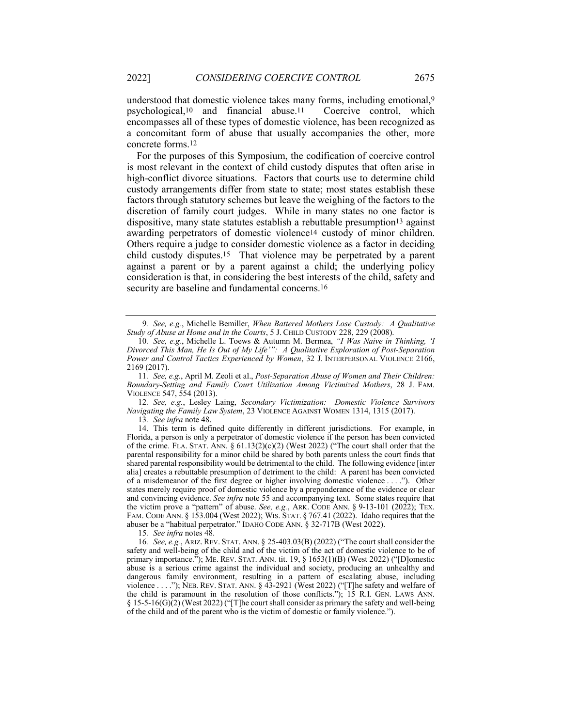understood that domestic violence takes many forms, including emotional,9 psychological,10 and financial abuse.11 Coercive control, which encompasses all of these types of domestic violence, has been recognized as a concomitant form of abuse that usually accompanies the other, more concrete forms.12

For the purposes of this Symposium, the codification of coercive control is most relevant in the context of child custody disputes that often arise in high-conflict divorce situations. Factors that courts use to determine child custody arrangements differ from state to state; most states establish these factors through statutory schemes but leave the weighing of the factors to the discretion of family court judges. While in many states no one factor is dispositive, many state statutes establish a rebuttable presumption<sup>13</sup> against awarding perpetrators of domestic violence14 custody of minor children. Others require a judge to consider domestic violence as a factor in deciding child custody disputes.15 That violence may be perpetrated by a parent against a parent or by a parent against a child; the underlying policy consideration is that, in considering the best interests of the child, safety and security are baseline and fundamental concerns.<sup>16</sup>

11*. See, e.g.*, April M. Zeoli et al., *Post-Separation Abuse of Women and Their Children: Boundary-Setting and Family Court Utilization Among Victimized Mothers*, 28 J. FAM. VIOLENCE 547, 554 (2013).

12*. See, e.g.*, Lesley Laing, *Secondary Victimization: Domestic Violence Survivors Navigating the Family Law System*, 23 VIOLENCE AGAINST WOMEN 1314, 1315 (2017).

13*. See infra* note 48.

14. This term is defined quite differently in different jurisdictions. For example, in Florida, a person is only a perpetrator of domestic violence if the person has been convicted of the crime. FLA. STAT. ANN.  $\S 61.13(2)(c)(2)$  (West 2022) ("The court shall order that the parental responsibility for a minor child be shared by both parents unless the court finds that shared parental responsibility would be detrimental to the child. The following evidence [inter alia] creates a rebuttable presumption of detriment to the child: A parent has been convicted of a misdemeanor of the first degree or higher involving domestic violence . . . ."). Other states merely require proof of domestic violence by a preponderance of the evidence or clear and convincing evidence. *See infra* note 55 and accompanying text. Some states require that the victim prove a "pattern" of abuse. *See, e.g.*, ARK. CODE ANN. § 9-13-101 (2022); TEX. FAM. CODE ANN. § 153.004 (West 2022); WIS. STAT. § 767.41 (2022). Idaho requires that the abuser be a "habitual perpetrator." IDAHO CODE ANN. § 32-717B (West 2022).

15*. See infra* notes 48.

16*. See, e.g.*, ARIZ. REV. STAT. ANN. § 25-403.03(B) (2022) ("The court shall consider the safety and well-being of the child and of the victim of the act of domestic violence to be of primary importance."); ME. REV. STAT. ANN. tit. 19, § 1653(1)(B) (West 2022) ("[D]omestic abuse is a serious crime against the individual and society, producing an unhealthy and dangerous family environment, resulting in a pattern of escalating abuse, including violence . . . ."); NEB. REV. STAT. ANN. § 43-2921 (West 2022) ("[T]he safety and welfare of the child is paramount in the resolution of those conflicts."); 15 R.I. GEN. LAWS ANN.  $\S 15-5-16(G)(2)$  (West 2022) ("[T]he court shall consider as primary the safety and well-being of the child and of the parent who is the victim of domestic or family violence.").

<sup>9</sup>*. See, e.g.*, Michelle Bemiller, *When Battered Mothers Lose Custody: A Qualitative Study of Abuse at Home and in the Courts*, 5 J. CHILD CUSTODY 228, 229 (2008).

<sup>10</sup>*. See, e.g.*, Michelle L. Toews & Autumn M. Bermea, *"I Was Naive in Thinking, 'I Divorced This Man, He Is Out of My Life'": A Qualitative Exploration of Post-Separation Power and Control Tactics Experienced by Women*, 32 J. INTERPERSONAL VIOLENCE 2166, 2169 (2017).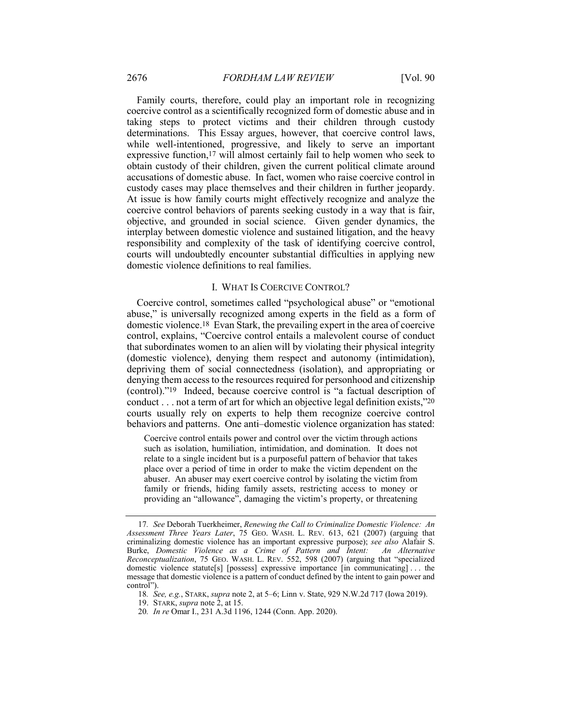Family courts, therefore, could play an important role in recognizing coercive control as a scientifically recognized form of domestic abuse and in taking steps to protect victims and their children through custody determinations. This Essay argues, however, that coercive control laws, while well-intentioned, progressive, and likely to serve an important expressive function,17 will almost certainly fail to help women who seek to obtain custody of their children, given the current political climate around accusations of domestic abuse. In fact, women who raise coercive control in custody cases may place themselves and their children in further jeopardy. At issue is how family courts might effectively recognize and analyze the coercive control behaviors of parents seeking custody in a way that is fair, objective, and grounded in social science. Given gender dynamics, the interplay between domestic violence and sustained litigation, and the heavy responsibility and complexity of the task of identifying coercive control, courts will undoubtedly encounter substantial difficulties in applying new domestic violence definitions to real families.

## I. WHAT IS COERCIVE CONTROL?

Coercive control, sometimes called "psychological abuse" or "emotional abuse," is universally recognized among experts in the field as a form of domestic violence.18 Evan Stark, the prevailing expert in the area of coercive control, explains, "Coercive control entails a malevolent course of conduct that subordinates women to an alien will by violating their physical integrity (domestic violence), denying them respect and autonomy (intimidation), depriving them of social connectedness (isolation), and appropriating or denying them access to the resources required for personhood and citizenship (control)."19 Indeed, because coercive control is "a factual description of conduct . . . not a term of art for which an objective legal definition exists,"20 courts usually rely on experts to help them recognize coercive control behaviors and patterns. One anti–domestic violence organization has stated:

Coercive control entails power and control over the victim through actions such as isolation, humiliation, intimidation, and domination. It does not relate to a single incident but is a purposeful pattern of behavior that takes place over a period of time in order to make the victim dependent on the abuser. An abuser may exert coercive control by isolating the victim from family or friends, hiding family assets, restricting access to money or providing an "allowance", damaging the victim's property, or threatening

20*. In re* Omar I., 231 A.3d 1196, 1244 (Conn. App. 2020).

<sup>17</sup>*. See* Deborah Tuerkheimer, *Renewing the Call to Criminalize Domestic Violence: An Assessment Three Years Later*, 75 GEO. WASH. L. REV. 613, 621 (2007) (arguing that criminalizing domestic violence has an important expressive purpose); *see also* Alafair S. Burke, *Domestic Violence as a Crime of Pattern and Intent: An Alternative Reconceptualization*, 75 GEO. WASH. L. REV. 552, 598 (2007) (arguing that "specialized domestic violence statute[s] [possess] expressive importance [in communicating] . . . the message that domestic violence is a pattern of conduct defined by the intent to gain power and control").

<sup>18</sup>*. See, e.g.*, STARK, *supra* note 2, at 5–6; Linn v. State, 929 N.W.2d 717 (Iowa 2019).

<sup>19.</sup> STARK, *supra* note 2, at 15.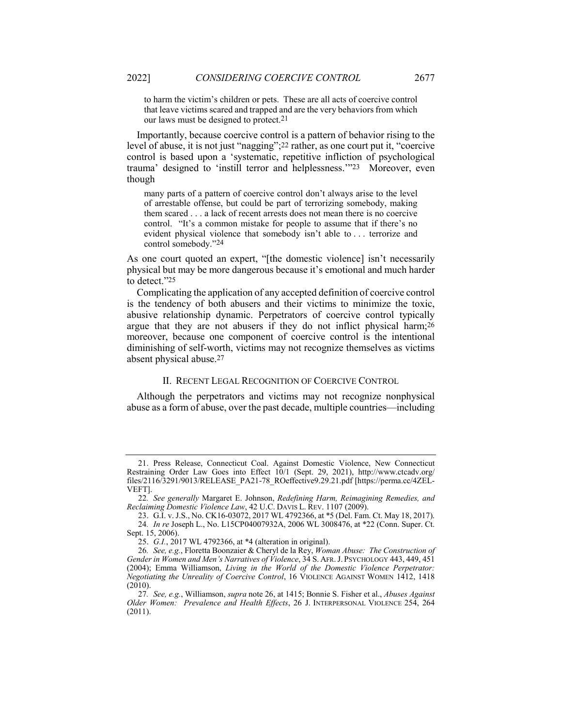to harm the victim's children or pets. These are all acts of coercive control that leave victims scared and trapped and are the very behaviors from which our laws must be designed to protect.21

Importantly, because coercive control is a pattern of behavior rising to the level of abuse, it is not just "nagging";22 rather, as one court put it, "coercive control is based upon a 'systematic, repetitive infliction of psychological trauma' designed to 'instill terror and helplessness.'"23 Moreover, even though

many parts of a pattern of coercive control don't always arise to the level of arrestable offense, but could be part of terrorizing somebody, making them scared . . . a lack of recent arrests does not mean there is no coercive control. "It's a common mistake for people to assume that if there's no evident physical violence that somebody isn't able to . . . terrorize and control somebody."24

As one court quoted an expert, "[the domestic violence] isn't necessarily physical but may be more dangerous because it's emotional and much harder to detect."25

Complicating the application of any accepted definition of coercive control is the tendency of both abusers and their victims to minimize the toxic, abusive relationship dynamic. Perpetrators of coercive control typically argue that they are not abusers if they do not inflict physical harm;26 moreover, because one component of coercive control is the intentional diminishing of self-worth, victims may not recognize themselves as victims absent physical abuse.27

#### II. RECENT LEGAL RECOGNITION OF COERCIVE CONTROL

Although the perpetrators and victims may not recognize nonphysical abuse as a form of abuse, over the past decade, multiple countries—including

<sup>21.</sup> Press Release, Connecticut Coal. Against Domestic Violence, New Connecticut Restraining Order Law Goes into Effect 10/1 (Sept. 29, 2021), http://www.ctcadv.org/ files/2116/3291/9013/RELEASE\_PA21-78\_ROeffective9.29.21.pdf [https://perma.cc/4ZEL-VEFT].

<sup>22</sup>*. See generally* Margaret E. Johnson, *Redefining Harm, Reimagining Remedies, and Reclaiming Domestic Violence Law*, 42 U.C. DAVIS L. REV. 1107 (2009).

<sup>23.</sup> G.I. v. J.S., No. CK16-03072, 2017 WL 4792366, at \*5 (Del. Fam. Ct. May 18, 2017). 24*. In re* Joseph L., No. L15CP04007932A, 2006 WL 3008476, at \*22 (Conn. Super. Ct. Sept. 15, 2006).

<sup>25.</sup> *G.I.*, 2017 WL 4792366, at \*4 (alteration in original).

<sup>26</sup>*. See, e.g.*, Floretta Boonzaier & Cheryl de la Rey, *Woman Abuse: The Construction of Gender in Women and Men's Narratives of Violence*, 34 S. AFR.J. PSYCHOLOGY 443, 449, 451 (2004); Emma Williamson, *Living in the World of the Domestic Violence Perpetrator: Negotiating the Unreality of Coercive Control*, 16 VIOLENCE AGAINST WOMEN 1412, 1418 (2010).

<sup>27</sup>*. See, e.g.*, Williamson, *supra* note 26, at 1415; Bonnie S. Fisher et al., *Abuses Against Older Women: Prevalence and Health Effects*, 26 J. INTERPERSONAL VIOLENCE 254, 264 (2011).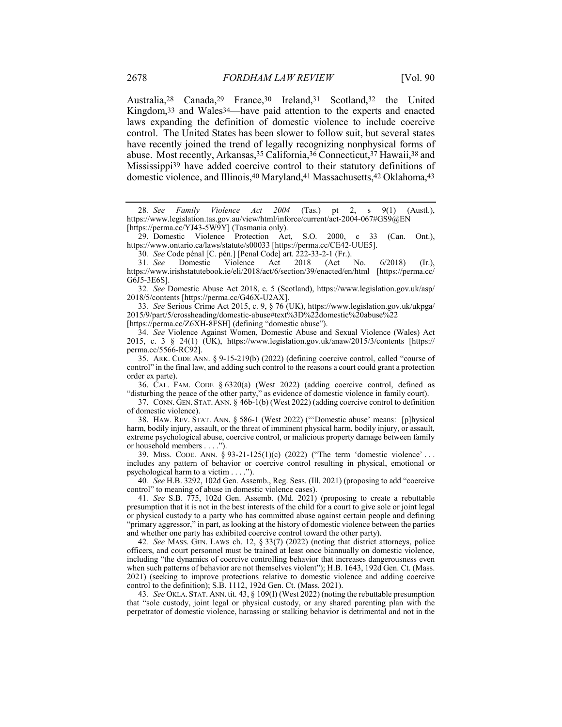Australia,28 Canada,29 France,30 Ireland,31 Scotland,32 the United Kingdom,33 and Wales34—have paid attention to the experts and enacted laws expanding the definition of domestic violence to include coercive control. The United States has been slower to follow suit, but several states have recently joined the trend of legally recognizing nonphysical forms of abuse. Most recently, Arkansas,35 California,36 Connecticut,37 Hawaii,38 and Mississippi39 have added coercive control to their statutory definitions of domestic violence, and Illinois,40 Maryland,41 Massachusetts,42 Oklahoma,43

29. Domestic Violence Protection Act, S.O. 2000, c 33 (Can. Ont.), https://www.ontario.ca/laws/statute/s00033 [https://perma.cc/CE42-UUE5].

31*. See* Domestic Violence Act 2018 (Act No. 6/2018) (Ir.), https://www.irishstatutebook.ie/eli/2018/act/6/section/39/enacted/en/html [https://perma.cc/ G6J5-3E6S].

32*. See* Domestic Abuse Act 2018, c. 5 (Scotland), https://www.legislation.gov.uk/asp/ 2018/5/contents [https://perma.cc/G46X-U2AX].

33*. See* Serious Crime Act 2015, c. 9, § 76 (UK), https://www.legislation.gov.uk/ukpga/ 2015/9/part/5/crossheading/domestic-abuse#text%3D%22domestic%20abuse%22 [https://perma.cc/Z6XH-8FSH] (defining "domestic abuse").

34*. See* Violence Against Women, Domestic Abuse and Sexual Violence (Wales) Act 2015, c. 3 § 24(1) (UK), https://www.legislation.gov.uk/anaw/2015/3/contents [https:// perma.cc/5566-RC92].

35. ARK. CODE ANN. § 9-15-219(b) (2022) (defining coercive control, called "course of control" in the final law, and adding such control to the reasons a court could grant a protection order ex parte).

36. CAL. FAM. CODE § 6320(a) (West 2022) (adding coercive control, defined as "disturbing the peace of the other party," as evidence of domestic violence in family court).

37. CONN. GEN. STAT. ANN. § 46b-1(b) (West 2022) (adding coercive control to definition of domestic violence).

38. HAW. REV. STAT. ANN. § 586-1 (West 2022) ("'Domestic abuse' means: [p]hysical harm, bodily injury, assault, or the threat of imminent physical harm, bodily injury, or assault, extreme psychological abuse, coercive control, or malicious property damage between family or household members . . . .").

39. MISS. CODE. ANN. § 93-21-125(1)(c) (2022) ("The term 'domestic violence' . . . includes any pattern of behavior or coercive control resulting in physical, emotional or psychological harm to a victim . . . .").

40*. See* H.B. 3292, 102d Gen. Assemb., Reg. Sess. (Ill. 2021) (proposing to add "coercive control" to meaning of abuse in domestic violence cases).

41*. See* S.B. 775, 102d Gen. Assemb. (Md. 2021) (proposing to create a rebuttable presumption that it is not in the best interests of the child for a court to give sole or joint legal or physical custody to a party who has committed abuse against certain people and defining "primary aggressor," in part, as looking at the history of domestic violence between the parties and whether one party has exhibited coercive control toward the other party).

42*. See* MASS. GEN. LAWS ch. 12, § 33(7) (2022) (noting that district attorneys, police officers, and court personnel must be trained at least once biannually on domestic violence, including "the dynamics of coercive controlling behavior that increases dangerousness even when such patterns of behavior are not themselves violent"); H.B. 1643, 192d Gen. Ct. (Mass. 2021) (seeking to improve protections relative to domestic violence and adding coercive control to the definition); S.B. 1112, 192d Gen. Ct. (Mass. 2021).

43*. See* OKLA. STAT. ANN. tit. 43, § 109(I) (West 2022) (noting the rebuttable presumption that "sole custody, joint legal or physical custody, or any shared parenting plan with the perpetrator of domestic violence, harassing or stalking behavior is detrimental and not in the

<sup>28</sup>*. See Family Violence Act 2004* (Tas.) pt 2, s 9(1) (Austl.), https://www.legislation.tas.gov.au/view/html/inforce/current/act-2004-067#GS9@EN [https://perma.cc/YJ43-5W9Y] (Tasmania only).

<sup>30</sup>*. See* Code pénal [C. pén.] [Penal Code] art. 222-33-2-1 (Fr.).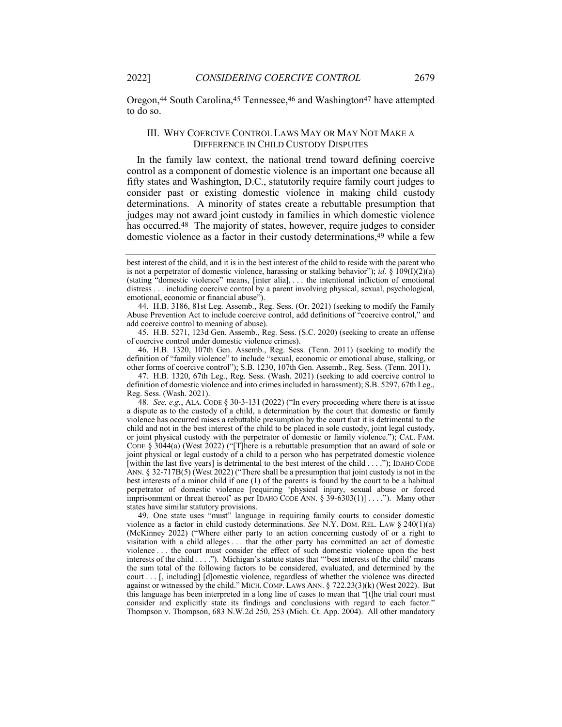Oregon,44 South Carolina,45 Tennessee,46 and Washington47 have attempted to do so.

#### III. WHY COERCIVE CONTROL LAWS MAY OR MAY NOT MAKE A DIFFERENCE IN CHILD CUSTODY DISPUTES

In the family law context, the national trend toward defining coercive control as a component of domestic violence is an important one because all fifty states and Washington, D.C., statutorily require family court judges to consider past or existing domestic violence in making child custody determinations. A minority of states create a rebuttable presumption that judges may not award joint custody in families in which domestic violence has occurred.<sup>48</sup> The majority of states, however, require judges to consider domestic violence as a factor in their custody determinations,49 while a few

45. H.B. 5271, 123d Gen. Assemb., Reg. Sess. (S.C. 2020) (seeking to create an offense of coercive control under domestic violence crimes).

46. H.B. 1320, 107th Gen. Assemb., Reg. Sess. (Tenn. 2011) (seeking to modify the definition of "family violence" to include "sexual, economic or emotional abuse, stalking, or other forms of coercive control"); S.B. 1230, 107th Gen. Assemb., Reg. Sess. (Tenn. 2011).

47. H.B. 1320, 67th Leg., Reg. Sess. (Wash. 2021) (seeking to add coercive control to definition of domestic violence and into crimes included in harassment); S.B. 5297, 67th Leg., Reg. Sess. (Wash. 2021).

48*. See, e.g.*, ALA. CODE § 30-3-131 (2022) ("In every proceeding where there is at issue a dispute as to the custody of a child, a determination by the court that domestic or family violence has occurred raises a rebuttable presumption by the court that it is detrimental to the child and not in the best interest of the child to be placed in sole custody, joint legal custody, or joint physical custody with the perpetrator of domestic or family violence."); CAL. FAM. CODE § 3044(a) (West 2022) ("[T]here is a rebuttable presumption that an award of sole or joint physical or legal custody of a child to a person who has perpetrated domestic violence [within the last five years] is detrimental to the best interest of the child . . . ."); IDAHO CODE ANN. § 32-717B(5) (West 2022) ("There shall be a presumption that joint custody is not in the best interests of a minor child if one (1) of the parents is found by the court to be a habitual perpetrator of domestic violence [requiring 'physical injury, sexual abuse or forced imprisonment or threat thereof' as per IDAHO CODE ANN. § 39-6303(1)] . . . ."). Many other states have similar statutory provisions.

49. One state uses "must" language in requiring family courts to consider domestic violence as a factor in child custody determinations. *See* N.Y. DOM. REL. LAW § 240(1)(a) (McKinney 2022) ("Where either party to an action concerning custody of or a right to visitation with a child alleges . . . that the other party has committed an act of domestic violence . . . the court must consider the effect of such domestic violence upon the best interests of the child . . . ."). Michigan's statute states that "'best interests of the child' means the sum total of the following factors to be considered, evaluated, and determined by the court . . . [, including] [d]omestic violence, regardless of whether the violence was directed against or witnessed by the child." MICH. COMP. LAWS ANN.  $\S$  722.23(3)(k) (West 2022). But this language has been interpreted in a long line of cases to mean that "[t]he trial court must consider and explicitly state its findings and conclusions with regard to each factor." Thompson v. Thompson, 683 N.W.2d 250, 253 (Mich. Ct. App. 2004). All other mandatory

best interest of the child, and it is in the best interest of the child to reside with the parent who is not a perpetrator of domestic violence, harassing or stalking behavior"); *id.* §  $\hat{109(I)(2)(a)}$ (stating "domestic violence" means, [inter alia], . . . the intentional infliction of emotional distress . . . including coercive control by a parent involving physical, sexual, psychological, emotional, economic or financial abuse").

<sup>44.</sup> H.B. 3186, 81st Leg. Assemb., Reg. Sess. (Or. 2021) (seeking to modify the Family Abuse Prevention Act to include coercive control, add definitions of "coercive control," and add coercive control to meaning of abuse).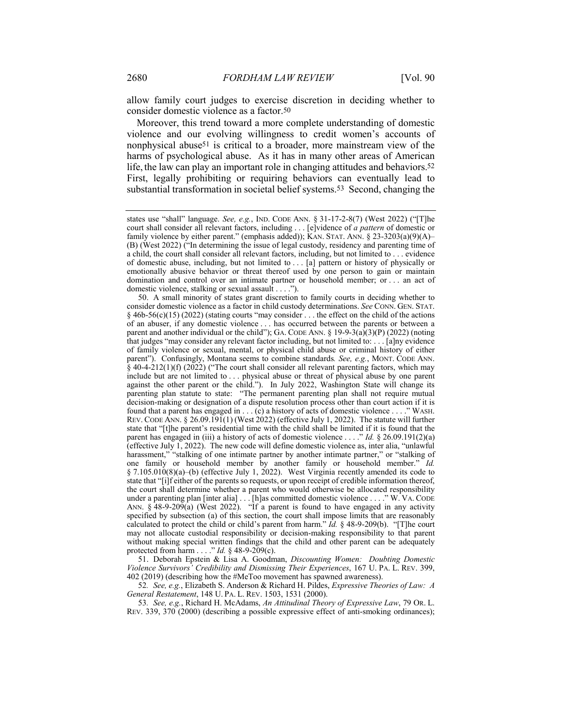allow family court judges to exercise discretion in deciding whether to consider domestic violence as a factor.50

Moreover, this trend toward a more complete understanding of domestic violence and our evolving willingness to credit women's accounts of nonphysical abuse51 is critical to a broader, more mainstream view of the harms of psychological abuse. As it has in many other areas of American life, the law can play an important role in changing attitudes and behaviors.<sup>52</sup> First, legally prohibiting or requiring behaviors can eventually lead to substantial transformation in societal belief systems.53 Second, changing the

50. A small minority of states grant discretion to family courts in deciding whether to consider domestic violence as a factor in child custody determinations. *See* CONN. GEN. STAT.  $§$  46b-56(c)(15) (2022) (stating courts "may consider ... the effect on the child of the actions of an abuser, if any domestic violence . . . has occurred between the parents or between a parent and another individual or the child"); GA. CODE ANN.  $\S$  19-9-3(a)(3)(P) (2022) (noting that judges "may consider any relevant factor including, but not limited to: . . . [a]ny evidence of family violence or sexual, mental, or physical child abuse or criminal history of either parent"). Confusingly, Montana seems to combine standards*. See, e.g.*, MONT. CODE ANN. § 40-4-212(1)(f) (2022) ("The court shall consider all relevant parenting factors, which may include but are not limited to . . . physical abuse or threat of physical abuse by one parent against the other parent or the child."). In July 2022, Washington State will change its parenting plan statute to state: "The permanent parenting plan shall not require mutual decision-making or designation of a dispute resolution process other than court action if it is found that a parent has engaged in . . . (c) a history of acts of domestic violence . . . ." WASH. REV. CODE ANN. § 26.09.191(1) (West 2022) (effective July 1, 2022). The statute will further state that "[t]he parent's residential time with the child shall be limited if it is found that the parent has engaged in (iii) a history of acts of domestic violence . . . ." *Id.* § 26.09.191(2)(a) (effective July 1, 2022). The new code will define domestic violence as, inter alia, "unlawful harassment," "stalking of one intimate partner by another intimate partner," or "stalking of one family or household member by another family or household member." *Id.* § 7.105.010(8)(a)–(b) (effective July 1, 2022). West Virginia recently amended its code to state that "[i]f either of the parents so requests, or upon receipt of credible information thereof, the court shall determine whether a parent who would otherwise be allocated responsibility under a parenting plan [inter alia] . . . [h]as committed domestic violence . . . ." W. VA. CODE ANN. § 48-9-209(a) (West 2022). "If a parent is found to have engaged in any activity specified by subsection (a) of this section, the court shall impose limits that are reasonably calculated to protect the child or child's parent from harm." *Id.* § 48-9-209(b). "[T]he court may not allocate custodial responsibility or decision-making responsibility to that parent without making special written findings that the child and other parent can be adequately protected from harm . . . ." *Id.* § 48-9-209(c).

51. Deborah Epstein & Lisa A. Goodman, *Discounting Women: Doubting Domestic Violence Survivors' Credibility and Dismissing Their Experiences*, 167 U. PA. L. REV. 399, 402 (2019) (describing how the #MeToo movement has spawned awareness).

52*. See, e.g.*, Elizabeth S. Anderson & Richard H. Pildes, *Expressive Theories of Law: A General Restatement*, 148 U. PA. L. REV. 1503, 1531 (2000).

53*. See, e.g.*, Richard H. McAdams, *An Attitudinal Theory of Expressive Law*, 79 OR. L. REV. 339, 370 (2000) (describing a possible expressive effect of anti-smoking ordinances);

states use "shall" language. *See, e.g.*, IND. CODE ANN. § 31-17-2-8(7) (West 2022) ("[T]he court shall consider all relevant factors, including . . . [e]vidence of *a pattern* of domestic or family violence by either parent." (emphasis added)); KAN. STAT. ANN.  $\S$  23-3203(a)(9)(A)– (B) (West 2022) ("In determining the issue of legal custody, residency and parenting time of a child, the court shall consider all relevant factors, including, but not limited to . . . evidence of domestic abuse, including, but not limited to . . . [a] pattern or history of physically or emotionally abusive behavior or threat thereof used by one person to gain or maintain domination and control over an intimate partner or household member; or . . . an act of domestic violence, stalking or sexual assault . . . .").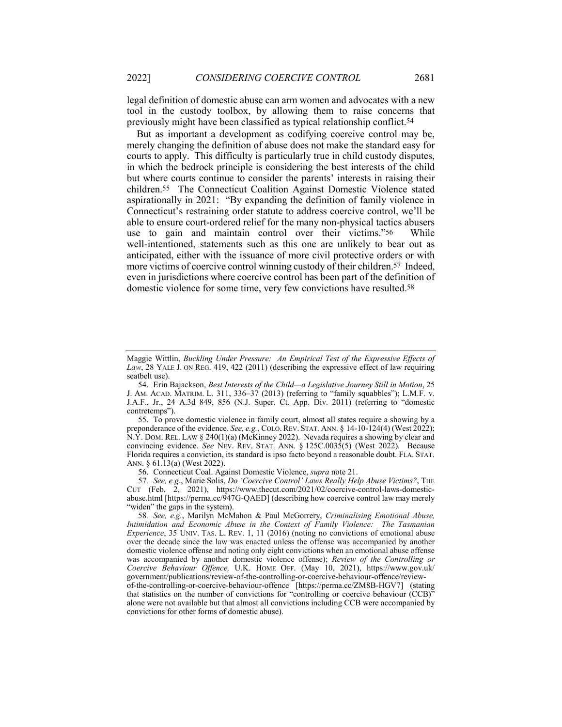legal definition of domestic abuse can arm women and advocates with a new tool in the custody toolbox, by allowing them to raise concerns that previously might have been classified as typical relationship conflict.54

But as important a development as codifying coercive control may be, merely changing the definition of abuse does not make the standard easy for courts to apply. This difficulty is particularly true in child custody disputes, in which the bedrock principle is considering the best interests of the child but where courts continue to consider the parents' interests in raising their children.55 The Connecticut Coalition Against Domestic Violence stated aspirationally in 2021: "By expanding the definition of family violence in Connecticut's restraining order statute to address coercive control, we'll be able to ensure court-ordered relief for the many non-physical tactics abusers use to gain and maintain control over their victims."56 While well-intentioned, statements such as this one are unlikely to bear out as anticipated, either with the issuance of more civil protective orders or with more victims of coercive control winning custody of their children.<sup>57</sup> Indeed, even in jurisdictions where coercive control has been part of the definition of domestic violence for some time, very few convictions have resulted.58

55. To prove domestic violence in family court, almost all states require a showing by a preponderance of the evidence. *See, e.g.*, COLO.REV. STAT. ANN. § 14-10-124(4) (West 2022); N.Y. DOM. REL. LAW § 240(1)(a) (McKinney 2022). Nevada requires a showing by clear and convincing evidence. *See* NEV. REV. STAT. ANN. § 125C.0035(5) (West 2022). Because Florida requires a conviction, its standard is ipso facto beyond a reasonable doubt. FLA. STAT. ANN. § 61.13(a) (West 2022).

56. Connecticut Coal. Against Domestic Violence, *supra* note 21.

57*. See, e.g.*, Marie Solis, *Do 'Coercive Control' Laws Really Help Abuse Victims?*, THE CUT (Feb. 2, 2021), https://www.thecut.com/2021/02/coercive-control-laws-domesticabuse.html [https://perma.cc/947G-QAED] (describing how coercive control law may merely "widen" the gaps in the system).

58*. See, e.g.*, Marilyn McMahon & Paul McGorrery, *Criminalising Emotional Abuse, Intimidation and Economic Abuse in the Context of Family Violence: The Tasmanian Experience*, 35 UNIV. TAS. L. REV. 1, 11 (2016) (noting no convictions of emotional abuse over the decade since the law was enacted unless the offense was accompanied by another domestic violence offense and noting only eight convictions when an emotional abuse offense was accompanied by another domestic violence offense); *Review of the Controlling or Coercive Behaviour Offence,* U.K. HOME OFF. (May 10, 2021), https://www.gov.uk/ government/publications/review-of-the-controlling-or-coercive-behaviour-offence/review-

of-the-controlling-or-coercive-behaviour-offence [https://perma.cc/ZM8B-HGV7] (stating that statistics on the number of convictions for "controlling or coercive behaviour (CCB)" alone were not available but that almost all convictions including CCB were accompanied by convictions for other forms of domestic abuse).

Maggie Wittlin, *Buckling Under Pressure: An Empirical Test of the Expressive Effects of Law*, 28 YALE J. ON REG. 419, 422 (2011) (describing the expressive effect of law requiring seatbelt use).

<sup>54.</sup> Erin Bajackson, *Best Interests of the Child—a Legislative Journey Still in Motion*, 25 J. AM. ACAD. MATRIM. L. 311, 336–37 (2013) (referring to "family squabbles"); L.M.F. v. J.A.F., Jr., 24 A.3d 849, 856 (N.J. Super. Ct. App. Div. 2011) (referring to "domestic contretemps").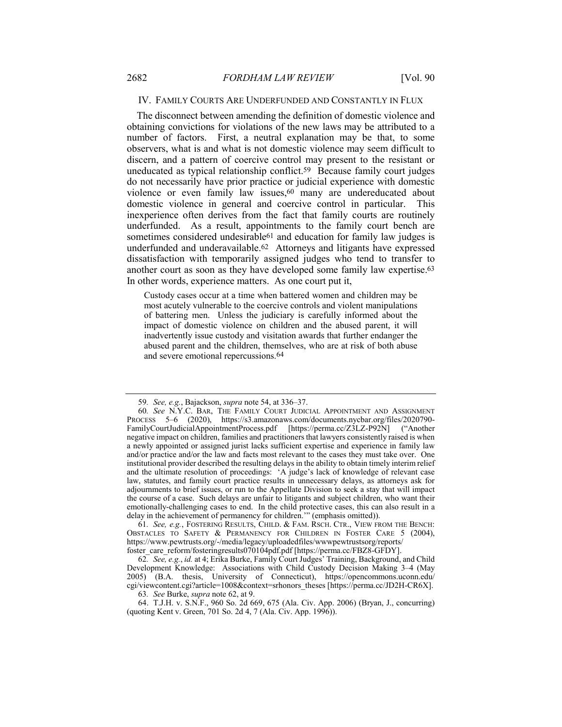#### IV. FAMILY COURTS ARE UNDERFUNDED AND CONSTANTLY IN FLUX

The disconnect between amending the definition of domestic violence and obtaining convictions for violations of the new laws may be attributed to a number of factors. First, a neutral explanation may be that, to some observers, what is and what is not domestic violence may seem difficult to discern, and a pattern of coercive control may present to the resistant or uneducated as typical relationship conflict.59 Because family court judges do not necessarily have prior practice or judicial experience with domestic violence or even family law issues,<sup>60</sup> many are undereducated about domestic violence in general and coercive control in particular. This inexperience often derives from the fact that family courts are routinely underfunded. As a result, appointments to the family court bench are sometimes considered undesirable<sup>61</sup> and education for family law judges is underfunded and underavailable.62 Attorneys and litigants have expressed dissatisfaction with temporarily assigned judges who tend to transfer to another court as soon as they have developed some family law expertise.63 In other words, experience matters. As one court put it,

Custody cases occur at a time when battered women and children may be most acutely vulnerable to the coercive controls and violent manipulations of battering men. Unless the judiciary is carefully informed about the impact of domestic violence on children and the abused parent, it will inadvertently issue custody and visitation awards that further endanger the abused parent and the children, themselves, who are at risk of both abuse and severe emotional repercussions.64

61*. See, e.g.*, FOSTERING RESULTS, CHILD. & FAM. RSCH. CTR., VIEW FROM THE BENCH: OBSTACLES TO SAFETY & PERMANENCY FOR CHILDREN IN FOSTER CARE 5 (2004), https://www.pewtrusts.org/-/media/legacy/uploadedfiles/wwwpewtrustsorg/reports/ foster\_care\_reform/fosteringresults070104pdf.pdf [https://perma.cc/FBZ8-GFDY].

62*. See, e.g.*, *id.* at 4; Erika Burke, Family Court Judges' Training, Background, and Child Development Knowledge: Associations with Child Custody Decision Making 3–4 (May 2005) (B.A. thesis, University of Connecticut), https://opencommons.uconn.edu/ cgi/viewcontent.cgi?article=1008&context=srhonors\_theses [https://perma.cc/JD2H-CR6X].

63*. See* Burke, *supra* note 62, at 9.

64. T.J.H. v. S.N.F., 960 So. 2d 669, 675 (Ala. Civ. App. 2006) (Bryan, J., concurring) (quoting Kent v. Green, 701 So. 2d 4, 7 (Ala. Civ. App. 1996)).

<sup>59</sup>*. See, e.g.*, Bajackson, *supra* note 54, at 336–37.

<sup>60</sup>*. See* N.Y.C. BAR, THE FAMILY COURT JUDICIAL APPOINTMENT AND ASSIGNMENT PROCESS 5–6 (2020), https://s3.amazonaws.com/documents.nycbar.org/files/2020790-<br>FamilyCourtJudicialAppointmentProcess.pdf [https://perma.cc/Z3LZ-P92N] ("Another FamilyCourtJudicialAppointmentProcess.pdf [https://perma.cc/Z3LZ-P92N] ("Another negative impact on children, families and practitioners that lawyers consistently raised is when a newly appointed or assigned jurist lacks sufficient expertise and experience in family law and/or practice and/or the law and facts most relevant to the cases they must take over. One institutional provider described the resulting delays in the ability to obtain timely interim relief and the ultimate resolution of proceedings: 'A judge's lack of knowledge of relevant case law, statutes, and family court practice results in unnecessary delays, as attorneys ask for adjournments to brief issues, or run to the Appellate Division to seek a stay that will impact the course of a case. Such delays are unfair to litigants and subject children, who want their emotionally-challenging cases to end. In the child protective cases, this can also result in a delay in the achievement of permanency for children.'" (emphasis omitted)).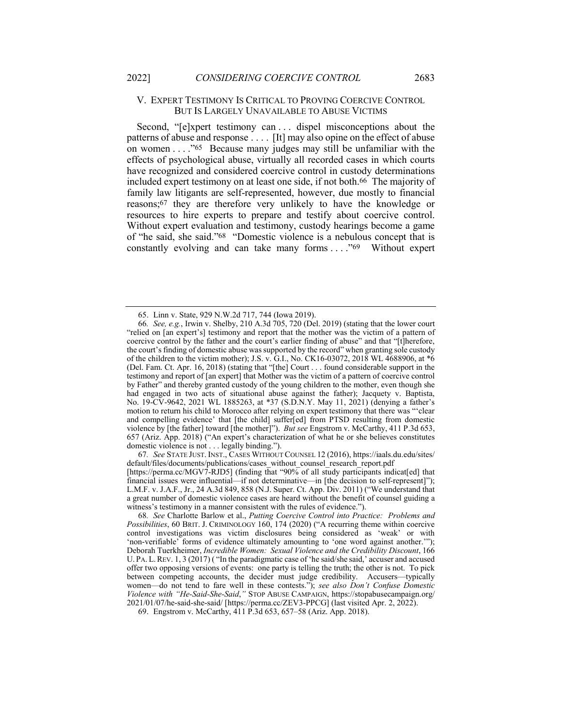#### V. EXPERT TESTIMONY IS CRITICAL TO PROVING COERCIVE CONTROL BUT IS LARGELY UNAVAILABLE TO ABUSE VICTIMS

Second, "[e]xpert testimony can . . . dispel misconceptions about the patterns of abuse and response . . . . [It] may also opine on the effect of abuse on women . . . ."65 Because many judges may still be unfamiliar with the effects of psychological abuse, virtually all recorded cases in which courts have recognized and considered coercive control in custody determinations included expert testimony on at least one side, if not both.66 The majority of family law litigants are self-represented, however, due mostly to financial reasons;67 they are therefore very unlikely to have the knowledge or resources to hire experts to prepare and testify about coercive control. Without expert evaluation and testimony, custody hearings become a game of "he said, she said."68 "Domestic violence is a nebulous concept that is constantly evolving and can take many forms . . . ."69 Without expert

67*. See* STATE JUST. INST., CASES WITHOUT COUNSEL 12 (2016), https://iaals.du.edu/sites/ default/files/documents/publications/cases\_without\_counsel\_research\_report.pdf

[https://perma.cc/MGV7-RJD5] (finding that "90% of all study participants indicat[ed] that financial issues were influential—if not determinative—in [the decision to self-represent]"); L.M.F. v. J.A.F., Jr., 24 A.3d 849, 858 (N.J. Super. Ct. App. Div. 2011) ("We understand that a great number of domestic violence cases are heard without the benefit of counsel guiding a witness's testimony in a manner consistent with the rules of evidence.").

68*. See* Charlotte Barlow et al., *Putting Coercive Control into Practice: Problems and Possibilities*, 60 BRIT. J. CRIMINOLOGY 160, 174 (2020) ("A recurring theme within coercive control investigations was victim disclosures being considered as 'weak' or with 'non-verifiable' forms of evidence ultimately amounting to 'one word against another.'"); Deborah Tuerkheimer, *Incredible Women: Sexual Violence and the Credibility Discount*, 166 U. PA. L.REV. 1, 3 (2017) ( "In the paradigmatic case of 'he said/she said,' accuser and accused offer two opposing versions of events: one party is telling the truth; the other is not. To pick between competing accounts, the decider must judge credibility. Accusers—typically women—do not tend to fare well in these contests."); *see also Don't Confuse Domestic Violence with "He-Said-She-Said*,*"* STOP ABUSE CAMPAIGN, https://stopabusecampaign.org/ 2021/01/07/he-said-she-said/ [https://perma.cc/ZEV3-PPCG] (last visited Apr. 2, 2022).

<sup>65.</sup> Linn v. State, 929 N.W.2d 717, 744 (Iowa 2019).

<sup>66</sup>*. See, e.g.*, Irwin v. Shelby, 210 A.3d 705, 720 (Del. 2019) (stating that the lower court "relied on [an expert's] testimony and report that the mother was the victim of a pattern of coercive control by the father and the court's earlier finding of abuse" and that "[t]herefore, the court's finding of domestic abuse was supported by the record" when granting sole custody of the children to the victim mother); J.S. v. G.I., No. CK16-03072, 2018 WL 4688906, at \*6 (Del. Fam. Ct. Apr. 16, 2018) (stating that "[the] Court . . . found considerable support in the testimony and report of [an expert] that Mother was the victim of a pattern of coercive control by Father" and thereby granted custody of the young children to the mother, even though she had engaged in two acts of situational abuse against the father); Jacquety v. Baptista, No. 19-CV-9642, 2021 WL 1885263, at \*37 (S.D.N.Y. May 11, 2021) (denying a father's motion to return his child to Morocco after relying on expert testimony that there was "'clear and compelling evidence' that [the child] suffer[ed] from PTSD resulting from domestic violence by [the father] toward [the mother]"). *But see* Engstrom v. McCarthy, 411 P.3d 653, 657 (Ariz. App. 2018) ("An expert's characterization of what he or she believes constitutes domestic violence is not . . . legally binding.").

<sup>69.</sup> Engstrom v. McCarthy, 411 P.3d 653, 657–58 (Ariz. App. 2018).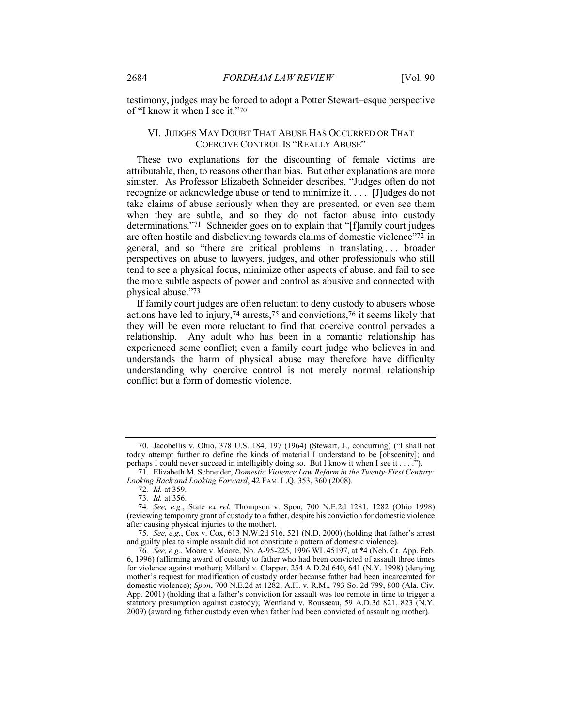testimony, judges may be forced to adopt a Potter Stewart–esque perspective of "I know it when I see it."70

### VI. JUDGES MAY DOUBT THAT ABUSE HAS OCCURRED OR THAT COERCIVE CONTROL IS "REALLY ABUSE"

These two explanations for the discounting of female victims are attributable, then, to reasons other than bias. But other explanations are more sinister. As Professor Elizabeth Schneider describes, "Judges often do not recognize or acknowledge abuse or tend to minimize it. . . . [J]udges do not take claims of abuse seriously when they are presented, or even see them when they are subtle, and so they do not factor abuse into custody determinations."71 Schneider goes on to explain that "[f]amily court judges are often hostile and disbelieving towards claims of domestic violence"72 in general, and so "there are critical problems in translating . . . broader perspectives on abuse to lawyers, judges, and other professionals who still tend to see a physical focus, minimize other aspects of abuse, and fail to see the more subtle aspects of power and control as abusive and connected with physical abuse."73

If family court judges are often reluctant to deny custody to abusers whose actions have led to injury,74 arrests,75 and convictions,76 it seems likely that they will be even more reluctant to find that coercive control pervades a relationship. Any adult who has been in a romantic relationship has experienced some conflict; even a family court judge who believes in and understands the harm of physical abuse may therefore have difficulty understanding why coercive control is not merely normal relationship conflict but a form of domestic violence.

<sup>70.</sup> Jacobellis v. Ohio, 378 U.S. 184, 197 (1964) (Stewart, J., concurring) ("I shall not today attempt further to define the kinds of material I understand to be [obscenity]; and perhaps I could never succeed in intelligibly doing so. But I know it when I see it . . . .").

<sup>71.</sup> Elizabeth M. Schneider, *Domestic Violence Law Reform in the Twenty-First Century: Looking Back and Looking Forward*, 42 FAM. L.Q. 353, 360 (2008).

<sup>72</sup>*. Id.* at 359.

<sup>73</sup>*. Id.* at 356.

<sup>74</sup>*. See, e.g.*, State *ex rel.* Thompson v. Spon, 700 N.E.2d 1281, 1282 (Ohio 1998) (reviewing temporary grant of custody to a father, despite his conviction for domestic violence after causing physical injuries to the mother).

<sup>75</sup>*. See, e.g.*, Cox v. Cox, 613 N.W.2d 516, 521 (N.D. 2000) (holding that father's arrest and guilty plea to simple assault did not constitute a pattern of domestic violence).

<sup>76</sup>*. See, e.g.*, Moore v. Moore, No. A-95-225, 1996 WL 45197, at \*4 (Neb. Ct. App. Feb. 6, 1996) (affirming award of custody to father who had been convicted of assault three times for violence against mother); Millard v. Clapper, 254 A.D.2d 640, 641 (N.Y. 1998) (denying mother's request for modification of custody order because father had been incarcerated for domestic violence); *Spon*, 700 N.E.2d at 1282; A.H. v. R.M., 793 So. 2d 799, 800 (Ala. Civ. App. 2001) (holding that a father's conviction for assault was too remote in time to trigger a statutory presumption against custody); Wentland v. Rousseau, 59 A.D.3d 821, 823 (N.Y. 2009) (awarding father custody even when father had been convicted of assaulting mother).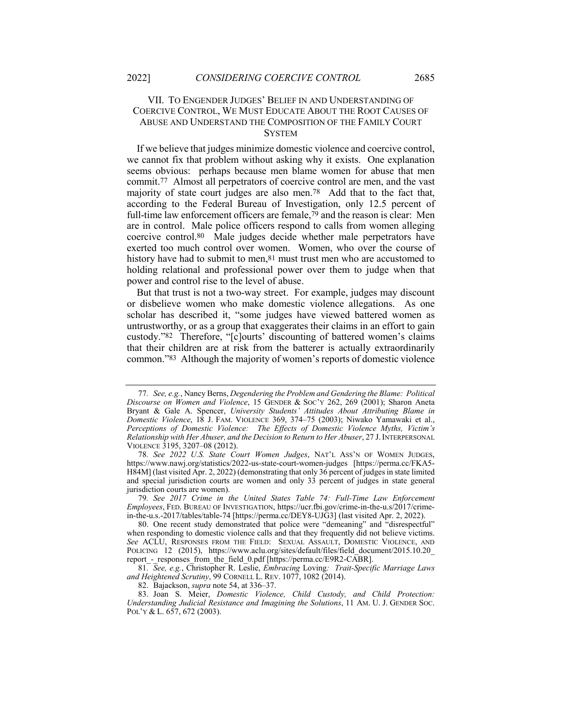## VII. TO ENGENDER JUDGES' BELIEF IN AND UNDERSTANDING OF COERCIVE CONTROL, WE MUST EDUCATE ABOUT THE ROOT CAUSES OF ABUSE AND UNDERSTAND THE COMPOSITION OF THE FAMILY COURT **SYSTEM**

If we believe that judges minimize domestic violence and coercive control, we cannot fix that problem without asking why it exists. One explanation seems obvious: perhaps because men blame women for abuse that men commit.77 Almost all perpetrators of coercive control are men, and the vast majority of state court judges are also men.78 Add that to the fact that, according to the Federal Bureau of Investigation, only 12.5 percent of full-time law enforcement officers are female,79 and the reason is clear: Men are in control. Male police officers respond to calls from women alleging coercive control.80 Male judges decide whether male perpetrators have exerted too much control over women. Women, who over the course of history have had to submit to men, <sup>81</sup> must trust men who are accustomed to holding relational and professional power over them to judge when that power and control rise to the level of abuse.

But that trust is not a two-way street. For example, judges may discount or disbelieve women who make domestic violence allegations. As one scholar has described it, "some judges have viewed battered women as untrustworthy, or as a group that exaggerates their claims in an effort to gain custody."82 Therefore, "[c]ourts' discounting of battered women's claims that their children are at risk from the batterer is actually extraordinarily common."83 Although the majority of women's reports of domestic violence

<sup>77</sup>*. See, e.g.*, Nancy Berns, *Degendering the Problem and Gendering the Blame: Political Discourse on Women and Violence*, 15 GENDER & SOC'Y 262, 269 (2001); Sharon Aneta Bryant & Gale A. Spencer, *University Students' Attitudes About Attributing Blame in Domestic Violence*, 18 J. FAM. VIOLENCE 369, 374–75 (2003); Niwako Yamawaki et al., *Perceptions of Domestic Violence: The Effects of Domestic Violence Myths, Victim's Relationship with Her Abuser, and the Decision to Return to Her Abuser*, 27 J.INTERPERSONAL VIOLENCE 3195, 3207–08 (2012).

<sup>78</sup>*. See 2022 U.S. State Court Women Judges*, NAT'L ASS'N OF WOMEN JUDGES, https://www.nawj.org/statistics/2022-us-state-court-women-judges [https://perma.cc/FKA5- H84M] (last visited Apr. 2, 2022) (demonstrating that only 36 percent of judges in state limited and special jurisdiction courts are women and only 33 percent of judges in state general jurisdiction courts are women).

<sup>79</sup>*. See 2017 Crime in the United States Table 74: Full-Time Law Enforcement Employees*, FED. BUREAU OF INVESTIGATION, https://ucr.fbi.gov/crime-in-the-u.s/2017/crimein-the-u.s.-2017/tables/table-74 [https://perma.cc/DEY8-UJG3] (last visited Apr. 2, 2022).

<sup>80.</sup> One recent study demonstrated that police were "demeaning" and "disrespectful" when responding to domestic violence calls and that they frequently did not believe victims. *See* ACLU, RESPONSES FROM THE FIELD: SEXUAL ASSAULT, DOMESTIC VIOLENCE, AND POLICING 12 (2015), https://www.aclu.org/sites/default/files/field\_document/2015.10.20\_ report - responses from the field 0.pdf [https://perma.cc/E9R2-CABR].

<sup>81</sup>*. See, e.g.*, Christopher R. Leslie, *Embracing* Loving*: Trait-Specific Marriage Laws and Heightened Scrutiny*, 99 CORNELL L. REV. 1077, 1082 (2014).

<sup>82.</sup> Bajackson, *supra* note 54, at 336–37.

<sup>83.</sup> Joan S. Meier, *Domestic Violence, Child Custody, and Child Protection: Understanding Judicial Resistance and Imagining the Solutions*, 11 AM. U. J. GENDER SOC. POL'Y & L. 657, 672 (2003).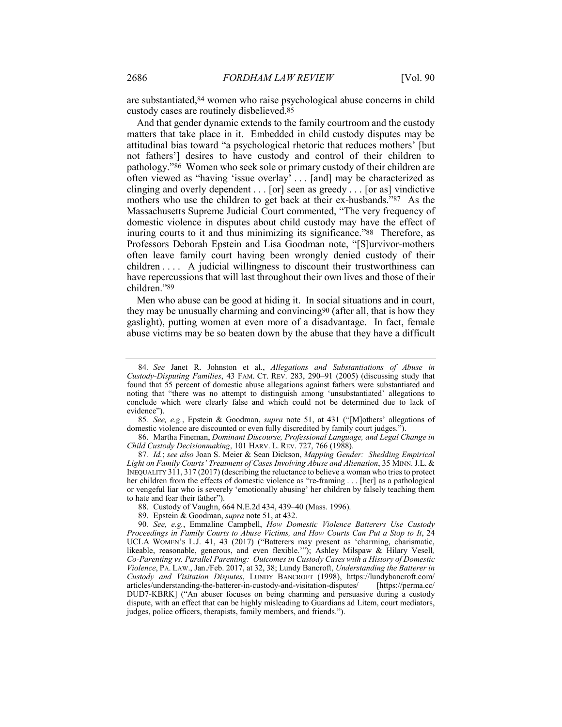are substantiated,84 women who raise psychological abuse concerns in child custody cases are routinely disbelieved.85

And that gender dynamic extends to the family courtroom and the custody matters that take place in it. Embedded in child custody disputes may be attitudinal bias toward "a psychological rhetoric that reduces mothers' [but not fathers'] desires to have custody and control of their children to pathology."86 Women who seek sole or primary custody of their children are often viewed as "having 'issue overlay' . . . [and] may be characterized as clinging and overly dependent . . . [or] seen as greedy . . . [or as] vindictive mothers who use the children to get back at their ex-husbands."87 As the Massachusetts Supreme Judicial Court commented, "The very frequency of domestic violence in disputes about child custody may have the effect of inuring courts to it and thus minimizing its significance."88 Therefore, as Professors Deborah Epstein and Lisa Goodman note, "[S]urvivor-mothers often leave family court having been wrongly denied custody of their children . . . . A judicial willingness to discount their trustworthiness can have repercussions that will last throughout their own lives and those of their children."89

Men who abuse can be good at hiding it. In social situations and in court, they may be unusually charming and convincing90 (after all, that is how they gaslight), putting women at even more of a disadvantage. In fact, female abuse victims may be so beaten down by the abuse that they have a difficult

<sup>84</sup>*. See* Janet R. Johnston et al., *Allegations and Substantiations of Abuse in Custody-Disputing Families*, 43 FAM. CT. REV. 283, 290–91 (2005) (discussing study that found that 55 percent of domestic abuse allegations against fathers were substantiated and noting that "there was no attempt to distinguish among 'unsubstantiated' allegations to conclude which were clearly false and which could not be determined due to lack of evidence").

<sup>85</sup>*. See, e.g.*, Epstein & Goodman, *supra* note 51, at 431 ("[M]others' allegations of domestic violence are discounted or even fully discredited by family court judges.").

<sup>86.</sup> Martha Fineman, *Dominant Discourse, Professional Language, and Legal Change in Child Custody Decisionmaking*, 101 HARV. L. REV. 727, 766 (1988).

<sup>87</sup>*. Id.*; *see also* Joan S. Meier & Sean Dickson, *Mapping Gender: Shedding Empirical Light on Family Courts' Treatment of Cases Involving Abuse and Alienation*, 35 MINN.J.L. & INEQUALITY 311, 317 (2017) (describing the reluctance to believe a woman who tries to protect her children from the effects of domestic violence as "re-framing . . . [her] as a pathological or vengeful liar who is severely 'emotionally abusing' her children by falsely teaching them to hate and fear their father").

<sup>88.</sup> Custody of Vaughn, 664 N.E.2d 434, 439–40 (Mass. 1996).

<sup>89.</sup> Epstein & Goodman, *supra* note 51, at 432.

<sup>90</sup>*. See, e.g.*, Emmaline Campbell, *How Domestic Violence Batterers Use Custody Proceedings in Family Courts to Abuse Victims, and How Courts Can Put a Stop to It*, 24 UCLA WOMEN'S L.J. 41, 43 (2017) ("Batterers may present as 'charming, charismatic, likeable, reasonable, generous, and even flexible.'"); Ashley Milspaw & Hilary Vesell*, Co-Parenting vs. Parallel Parenting: Outcomes in Custody Cases with a History of Domestic Violence*, PA. LAW., Jan./Feb. 2017, at 32, 38; Lundy Bancroft, *Understanding the Batterer in Custody and Visitation Disputes*, LUNDY BANCROFT (1998), https://lundybancroft.com/ articles/understanding-the-batterer-in-custody-and-visitation-disputes/ [https://perma.cc/ DUD7-KBRK] ("An abuser focuses on being charming and persuasive during a custody dispute, with an effect that can be highly misleading to Guardians ad Litem, court mediators, judges, police officers, therapists, family members, and friends.").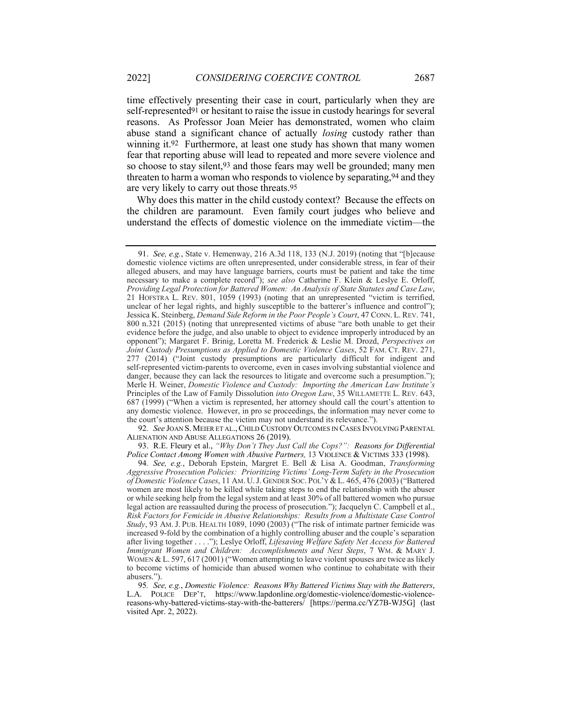time effectively presenting their case in court, particularly when they are self-represented91 or hesitant to raise the issue in custody hearings for several reasons. As Professor Joan Meier has demonstrated, women who claim abuse stand a significant chance of actually *losing* custody rather than winning it.92 Furthermore, at least one study has shown that many women fear that reporting abuse will lead to repeated and more severe violence and so choose to stay silent,93 and those fears may well be grounded; many men threaten to harm a woman who responds to violence by separating, 94 and they are very likely to carry out those threats.95

Why does this matter in the child custody context? Because the effects on the children are paramount. Even family court judges who believe and understand the effects of domestic violence on the immediate victim—the

92*. See* JOAN S. MEIER ET AL.,CHILD CUSTODY OUTCOMES IN CASES INVOLVING PARENTAL ALIENATION AND ABUSE ALLEGATIONS 26 (2019).

93. R.E. Fleury et al., *"Why Don't They Just Call the Cops?": Reasons for Differential Police Contact Among Women with Abusive Partners, 13 VIOLENCE & VICTIMS 333 (1998).* 

<sup>91.</sup> *See, e.g.*, State v. Hemenway, 216 A.3d 118, 133 (N.J. 2019) (noting that "[b]ecause domestic violence victims are often unrepresented, under considerable stress, in fear of their alleged abusers, and may have language barriers, courts must be patient and take the time necessary to make a complete record"); *see also* Catherine F. Klein & Leslye E. Orloff, *Providing Legal Protection for Battered Women: An Analysis of State Statutes and Case Law*, 21 HOFSTRA L. REV. 801, 1059 (1993) (noting that an unrepresented "victim is terrified, unclear of her legal rights, and highly susceptible to the batterer's influence and control"); Jessica K. Steinberg, *Demand Side Reform in the Poor People's Court*, 47 CONN. L. REV. 741, 800 n.321 (2015) (noting that unrepresented victims of abuse "are both unable to get their evidence before the judge, and also unable to object to evidence improperly introduced by an opponent"); Margaret F. Brinig, Loretta M. Frederick & Leslie M. Drozd, *Perspectives on Joint Custody Presumptions as Applied to Domestic Violence Cases*, 52 FAM. CT. REV. 271, 277 (2014) ("Joint custody presumptions are particularly difficult for indigent and self-represented victim-parents to overcome, even in cases involving substantial violence and danger, because they can lack the resources to litigate and overcome such a presumption."); Merle H. Weiner, *Domestic Violence and Custody: Importing the American Law Institute's*  Principles of the Law of Family Dissolution *into Oregon Law*, 35 WILLAMETTE L. REV. 643, 687 (1999) ("When a victim is represented, her attorney should call the court's attention to any domestic violence. However, in pro se proceedings, the information may never come to the court's attention because the victim may not understand its relevance.").

<sup>94</sup>*. See, e.g.*, Deborah Epstein, Margret E. Bell & Lisa A. Goodman, *Transforming Aggressive Prosecution Policies: Prioritizing Victims' Long-Term Safety in the Prosecution of Domestic Violence Cases*, 11 AM. U.J. GENDER SOC. POL'Y &L. 465, 476 (2003) ("Battered women are most likely to be killed while taking steps to end the relationship with the abuser or while seeking help from the legal system and at least 30% of all battered women who pursue legal action are reassaulted during the process of prosecution."); Jacquelyn C. Campbell et al., *Risk Factors for Femicide in Abusive Relationships: Results from a Multistate Case Control Study*, 93 AM. J. PUB. HEALTH 1089, 1090 (2003) ("The risk of intimate partner femicide was increased 9-fold by the combination of a highly controlling abuser and the couple's separation after living together . . . ."); Leslye Orloff, *Lifesaving Welfare Safety Net Access for Battered Immigrant Women and Children: Accomplishments and Next Steps*, 7 WM. & MARY J. WOMEN & L. 597, 617 (2001) ("Women attempting to leave violent spouses are twice as likely to become victims of homicide than abused women who continue to cohabitate with their abusers.").

<sup>95</sup>*. See, e.g.*, *Domestic Violence: Reasons Why Battered Victims Stay with the Batterers*, L.A. POLICE DEP'T, https://www.lapdonline.org/domestic-violence/domestic-violencereasons-why-battered-victims-stay-with-the-batterers/ [https://perma.cc/YZ7B-WJ5G] (last visited Apr. 2, 2022).